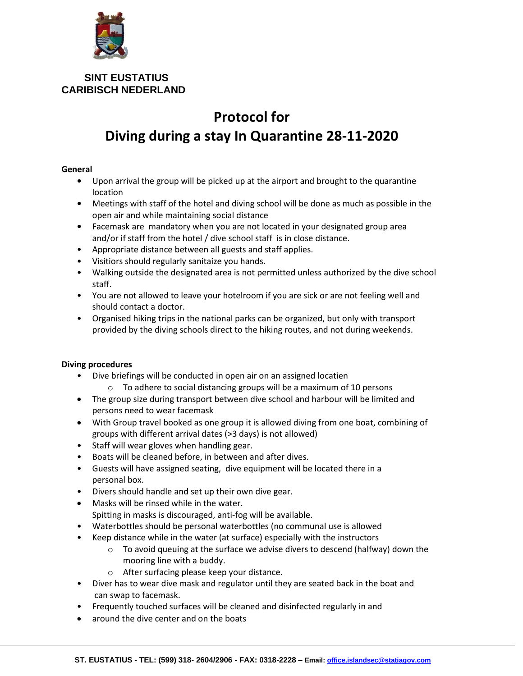

 **SINT EUSTATIUS CARIBISCH NEDERLAND** 

## **Protocol for Diving during a stay In Quarantine 28-11-2020**

## **General**

- **•** Upon arrival the group will be picked up at the airport and brought to the quarantine location
- **•** Meetings with staff of the hotel and diving school will be done as much as possible in the open air and while maintaining social distance
- **•** Facemask are mandatory when you are not located in your designated group area and/or if staff from the hotel / dive school staff is in close distance.
- Appropriate distance between all guests and staff applies.
- Visitiors should regularly sanitaize you hands.
- Walking outside the designated area is not permitted unless authorized by the dive school staff.
- You are not allowed to leave your hotelroom if you are sick or are not feeling well and should contact a doctor.
- Organised hiking trips in the national parks can be organized, but only with transport provided by the diving schools direct to the hiking routes, and not during weekends.

## **Diving procedures**

- Dive briefings will be conducted in open air on an assigned locatien
	- o To adhere to social distancing groups will be a maximum of 10 persons
- The group size during transport between dive school and harbour will be limited and persons need to wear facemask
- With Group travel booked as one group it is allowed diving from one boat, combining of groups with different arrival dates (>3 days) is not allowed)
- Staff will wear gloves when handling gear.
- Boats will be cleaned before, in between and after dives.
- Guests will have assigned seating, dive equipment will be located there in a personal box.
- Divers should handle and set up their own dive gear.
- Masks will be rinsed while in the water. Spitting in masks is discouraged, anti-fog will be available.
- Waterbottles should be personal waterbottles (no communal use is allowed
- Keep distance while in the water (at surface) especially with the instructors
	- $\circ$  To avoid queuing at the surface we advise divers to descend (halfway) down the mooring line with a buddy.
	- o After surfacing please keep your distance.
- Diver has to wear dive mask and regulator until they are seated back in the boat and can swap to facemask.
- Frequently touched surfaces will be cleaned and disinfected regularly in and
- around the dive center and on the boats